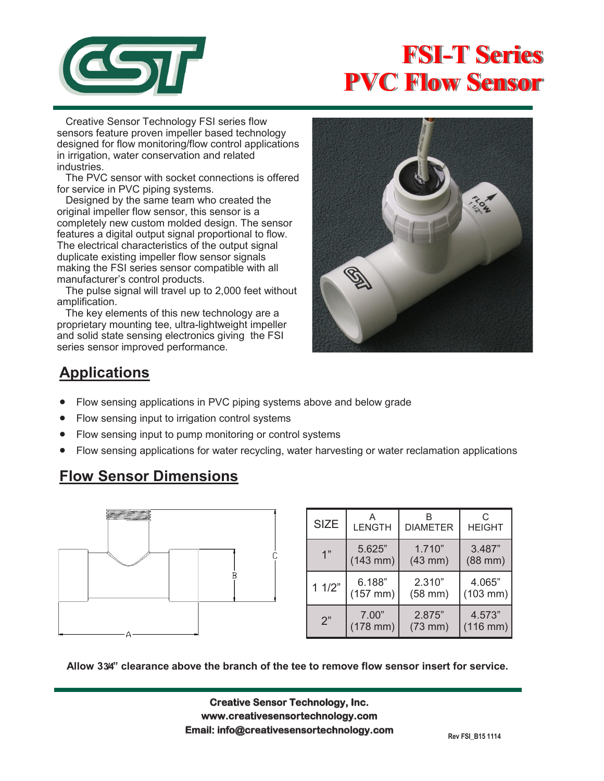

# **FSI-T Series PVC Flow Sensor**

 Creative Sensor Technology FSI series flow sensors feature proven impeller based technology designed for flow monitoring/flow control applications in irrigation, water conservation and related industries.

 The PVC sensor with socket connections is offered for service in PVC piping systems.

 Designed by the same team who created the original impeller flow sensor, this sensor is a completely new custom molded design. The sensor features a digital output signal proportional to flow. The electrical characteristics of the output signal duplicate existing impeller flow sensor signals making the FSI series sensor compatible with all manufacturer's control products.

 The pulse signal will travel up to 2,000 feet without amplification.

 The key elements of this new technology are a proprietary mounting tee, ultra-lightweight impeller and solid state sensing electronics giving the FSI series sensor improved performance.



# **Applications**

- Flow sensing applications in PVC piping systems above and below grade
- Flow sensing input to irrigation control systems
- Flow sensing input to pump monitoring or control systems
- Flow sensing applications for water recycling, water harvesting or water reclamation applications

### **Flow Sensor Dimensions**



| <b>SIZE</b> | А<br><b>LENGTH</b> | <b>DIAMETER</b> | C<br><b>HEIGHT</b>   |
|-------------|--------------------|-----------------|----------------------|
| 1"          | 5.625"             | 1.710"          | 3.487"               |
|             | $(143$ mm)         | $(43$ mm $)$    | $(88$ mm $)$         |
| 11/2"       | 6.188"             | 2.310"          | 4.065"               |
|             | $(157$ mm)         | $(58$ mm $)$    | $(103 \, \text{mm})$ |
| 2"          | 7.00"              | 2.875"          | 4.573"               |
|             | $(178$ mm $)$      | $(73$ mm $)$    | $(116$ mm $)$        |

**Allow 3 3/4" clearance above the branch of the tee to remove flow sensor insert for service.**

**Creative Sensor Technology, Inc. Creative Sensor Technology, Inc. www.creativesensortechnology.com www.creativesensortechnology.com PO Box 426, Rochester, MA 02770 Ph: 508-763-8100 Email: info@creativesensortechnology.com**